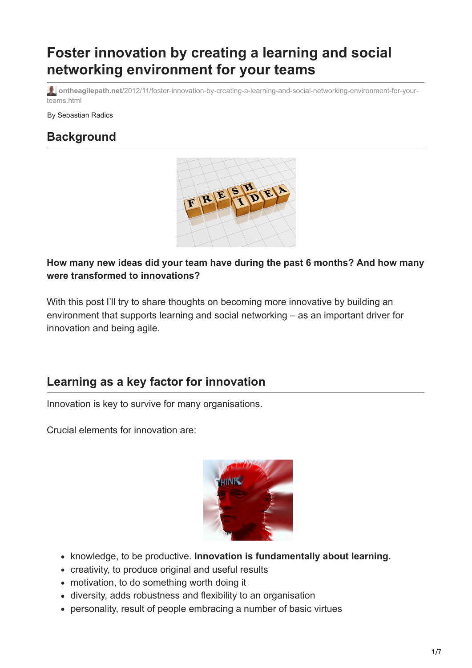# **Foster innovation by creating a learning and social networking environment for your teams**

**ontheagilepath.net**[/2012/11/foster-innovation-by-creating-a-learning-and-social-networking-environment-for-your](https://www.ontheagilepath.net/2012/11/foster-innovation-by-creating-a-learning-and-social-networking-environment-for-your-teams.html)teams.html

By Sebastian Radics

## **Background**



### **How many new ideas did your team have during the past 6 months? And how many were transformed to innovations?**

With this post I'll try to share thoughts on becoming more innovative by building an environment that supports learning and social networking – as an important driver for innovation and being agile.

## **Learning as a key factor for innovation**

Innovation is key to survive for many organisations.

Crucial elements for innovation are:



- **K** knowledge, to be productive. **Innovation is fundamentally about learning.**
- creativity, to produce original and useful results
- motivation, to do something worth doing it
- diversity, adds robustness and flexibility to an organisation
- personality, result of people embracing a number of basic virtues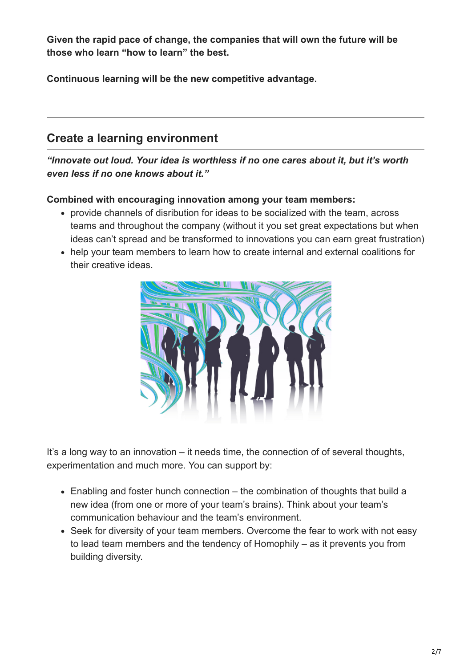**Given the rapid pace of change, the companies that will own the future will be those who learn "how to learn" the best.**

**Continuous learning will be the new competitive advantage.**

## **Create a learning environment**

*"Innovate out loud. Your idea is worthless if no one cares about it, but it's worth even less if no one knows about it."*

#### **Combined with encouraging innovation among your team members:**

- provide channels of disribution for ideas to be socialized with the team, across teams and throughout the company (without it you set great expectations but when ideas can't spread and be transformed to innovations you can earn great frustration)
- help your team members to learn how to create internal and external coalitions for their creative ideas.



It's a long way to an innovation – it needs time, the connection of of several thoughts, experimentation and much more. You can support by:

- Enabling and foster hunch connection the combination of thoughts that build a new idea (from one or more of your team's brains). Think about your team's communication behaviour and the team's environment.
- Seek for diversity of your team members. Overcome the fear to work with not easy to lead team members and the tendency of  $Homophily - as it prevents you from$ building diversity.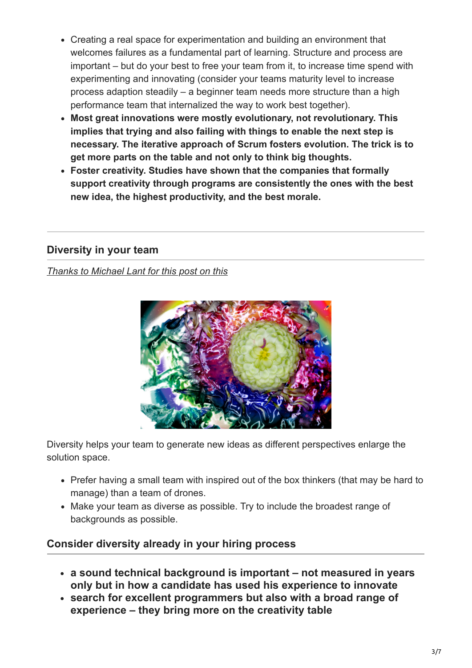- Creating a real space for experimentation and building an environment that welcomes failures as a fundamental part of learning. Structure and process are important – but do your best to free your team from it, to increase time spend with experimenting and innovating (consider your teams maturity level to increase process adaption steadily – a beginner team needs more structure than a high performance team that internalized the way to work best together).
- **Most great innovations were mostly evolutionary, not revolutionary. This implies that trying and also failing with things to enable the next step is necessary. The iterative approach of Scrum fosters evolution. The trick is to get more parts on the table and not only to think big thoughts.**
- **Foster creativity. Studies have shown that the companies that formally support creativity through programs are consistently the ones with the best new idea, the highest productivity, and the best morale.**

## **Diversity in your team**

#### *[Thanks to Michael Lant for this post on this](http://michaellant.com/2010/08/26/how-to-build-a-high-performance-agile-team/)*



Diversity helps your team to generate new ideas as different perspectives enlarge the solution space.

- Prefer having a small team with inspired out of the box thinkers (that may be hard to manage) than a team of drones.
- Make your team as diverse as possible. Try to include the broadest range of backgrounds as possible.

## **Consider diversity already in your hiring process**

- **a sound technical background is important not measured in years only but in how a candidate has used his experience to innovate**
- **search for excellent programmers but also with a broad range of experience – they bring more on the creativity table**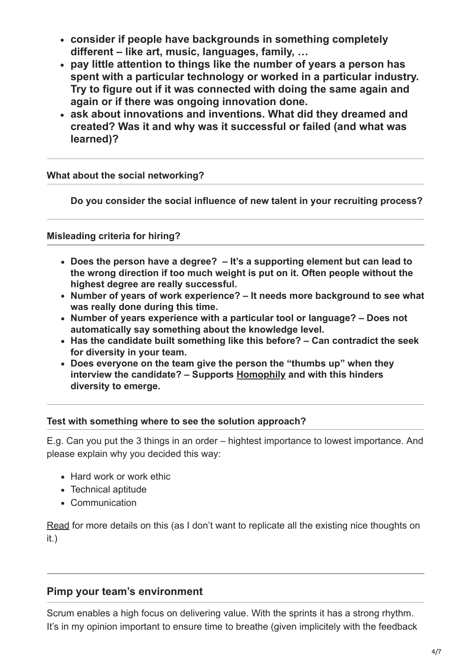- **consider if people have backgrounds in something completely different – like art, music, languages, family, …**
- **pay little attention to things like the number of years a person has spent with a particular technology or worked in a particular industry. Try to figure out if it was connected with doing the same again and again or if there was ongoing innovation done.**
- **ask about innovations and inventions. What did they dreamed and created? Was it and why was it successful or failed (and what was learned)?**

**What about the social networking?**

**Do you consider the social influence of new talent in your recruiting process?**

**Misleading criteria for hiring?**

- **Does the person have a degree? It's a supporting element but can lead to the wrong direction if too much weight is put on it. Often people without the highest degree are really successful.**
- **Number of years of work experience? It needs more background to see what was really done during this time.**
- **Number of years experience with a particular tool or language? Does not automatically say something about the knowledge level.**
- **Has the candidate built something like this before? Can contradict the seek for diversity in your team.**
- **Does everyone on the team give the person the "thumbs up" when they interview the candidate? – Supports [Homophily](http://en.wikipedia.org/wiki/Homophily) and with this hinders diversity to emerge.**

#### **Test with something where to see the solution approach?**

E.g. Can you put the 3 things in an order – hightest importance to lowest importance. And please explain why you decided this way:

- Hard work or work ethic
- Technical aptitude
- Communication

[Read](http://michaellant.com/2010/08/26/how-to-build-a-high-performance-agile-team/) for more details on this (as I don't want to replicate all the existing nice thoughts on it.)

#### **Pimp your team's environment**

Scrum enables a high focus on delivering value. With the sprints it has a strong rhythm. It's in my opinion important to ensure time to breathe (given implicitely with the feedback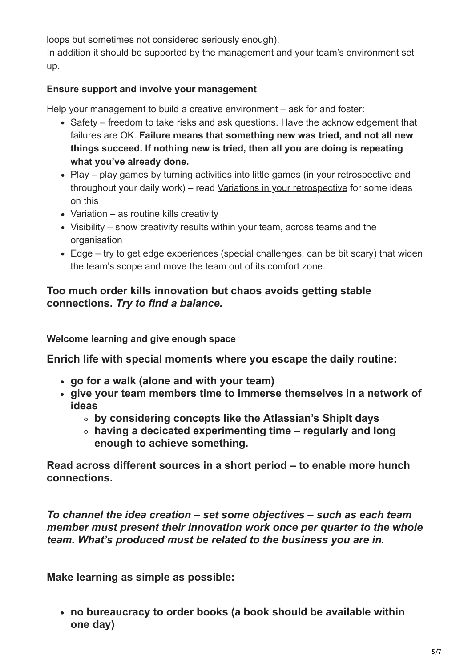loops but sometimes not considered seriously enough).

In addition it should be supported by the management and your team's environment set up.

### **Ensure support and involve your management**

Help your management to build a creative environment – ask for and foster:

- Safety freedom to take risks and ask questions. Have the acknowledgement that failures are OK. **Failure means that something new was tried, and not all new things succeed. If nothing new is tried, then all you are doing is repeating what you've already done.**
- Play play games by turning activities into little games (in your retrospective and throughout your daily work) – read [Variations in your retrospective](http://www.ontheagilepath.net/2012/11/evolving-retrospectives-variations-to.html) for some ideas on this
- Variation as routine kills creativity
- Visibility show creativity results within your team, across teams and the organisation
- Edge try to get edge experiences (special challenges, can be bit scary) that widen the team's scope and move the team out of its comfort zone.

### **Too much order kills innovation but chaos avoids getting stable connections.** *Try to find a balance.*

#### **Welcome learning and give enough space**

**Enrich life with special moments where you escape the daily routine:**

- **go for a walk (alone and with your team)**
- **give your team members time to immerse themselves in a network of ideas**
	- **by considering concepts like the [Atlassian's ShipIt days](http://www.atlassian.com/company/about/shipit)**
	- **having a decicated experimenting time regularly and long enough to achieve something.**

**Read across different sources in a short period – to enable more hunch connections.**

*To channel the idea creation – set some objectives – such as each team member must present their innovation work once per quarter to the whole team. What's produced must be related to the business you are in.*

**Make learning as simple as possible:**

**no bureaucracy to order books (a book should be available within one day)**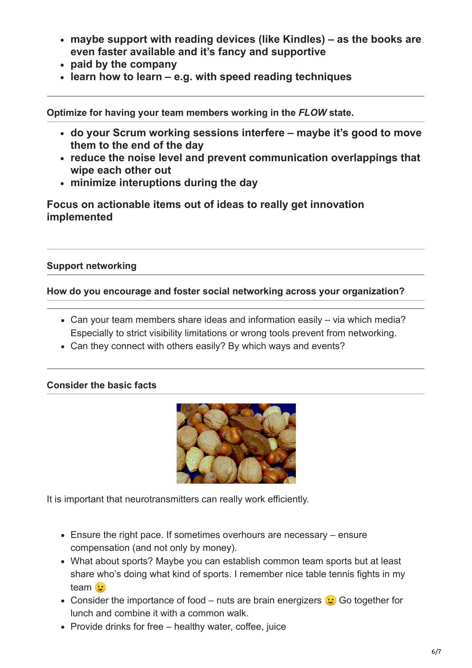- **maybe support with reading devices (like Kindles) as the books are even faster available and it's fancy and supportive**
- **paid by the company**
- **learn how to learn e.g. with speed reading techniques**

**Optimize for having your team members working in the** *FLOW* **state.**

- **do your Scrum working sessions interfere maybe it's good to move them to the end of the day**
- **reduce the noise level and prevent communication overlappings that wipe each other out**
- **minimize interuptions during the day**

**Focus on actionable items out of ideas to really get innovation implemented**

#### **Support networking**

#### **How do you encourage and foster social networking across your organization?**

- Can your team members share ideas and information easily via which media? Especially to strict visibility limitations or wrong tools prevent from networking.
- Can they connect with others easily? By which ways and events?

#### **Consider the basic facts**



It is important that neurotransmitters can really work efficiently.

- Ensure the right pace. If sometimes overhours are necessary ensure compensation (and not only by money).
- What about sports? Maybe you can establish common team sports but at least share who's doing what kind of sports. I remember nice table tennis fights in my team<sup>3</sup>
- Consider the importance of food nuts are brain energizers  $\odot$  Go together for lunch and combine it with a common walk.
- Provide drinks for free healthy water, coffee, juice